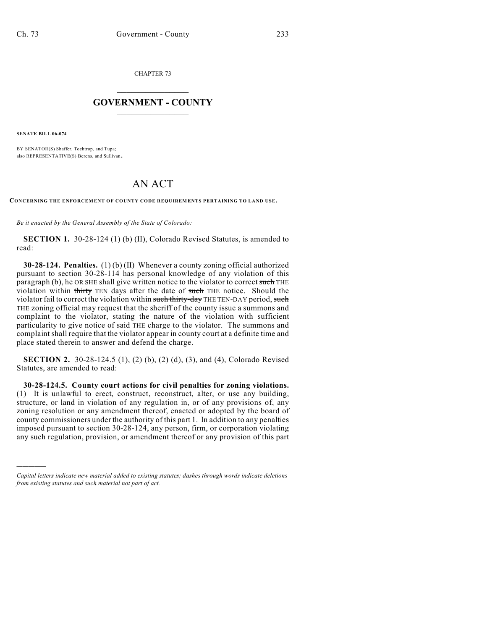CHAPTER 73

## $\overline{\phantom{a}}$  . The set of the set of the set of the set of the set of the set of the set of the set of the set of the set of the set of the set of the set of the set of the set of the set of the set of the set of the set o **GOVERNMENT - COUNTY**  $\_$

**SENATE BILL 06-074**

)))))

BY SENATOR(S) Shaffer, Tochtrop, and Tupa; also REPRESENTATIVE(S) Berens, and Sullivan.

## AN ACT

**CONCERNING THE ENFORCEMENT OF COUNTY CODE REQUIREM ENTS PERTAINING TO LAND USE.**

*Be it enacted by the General Assembly of the State of Colorado:*

**SECTION 1.** 30-28-124 (1) (b) (II), Colorado Revised Statutes, is amended to read:

**30-28-124. Penalties.** (1) (b) (II) Whenever a county zoning official authorized pursuant to section 30-28-114 has personal knowledge of any violation of this paragraph (b), he OR SHE shall give written notice to the violator to correct such THE violation within thirty TEN days after the date of such THE notice. Should the violator fail to correct the violation within such thirty-day THE TEN-DAY period, such THE zoning official may request that the sheriff of the county issue a summons and complaint to the violator, stating the nature of the violation with sufficient particularity to give notice of said THE charge to the violator. The summons and complaint shall require that the violator appear in county court at a definite time and place stated therein to answer and defend the charge.

**SECTION 2.** 30-28-124.5 (1), (2) (b), (2) (d), (3), and (4), Colorado Revised Statutes, are amended to read:

**30-28-124.5. County court actions for civil penalties for zoning violations.** (1) It is unlawful to erect, construct, reconstruct, alter, or use any building, structure, or land in violation of any regulation in, or of any provisions of, any zoning resolution or any amendment thereof, enacted or adopted by the board of county commissioners under the authority of this part 1. In addition to any penalties imposed pursuant to section 30-28-124, any person, firm, or corporation violating any such regulation, provision, or amendment thereof or any provision of this part

*Capital letters indicate new material added to existing statutes; dashes through words indicate deletions from existing statutes and such material not part of act.*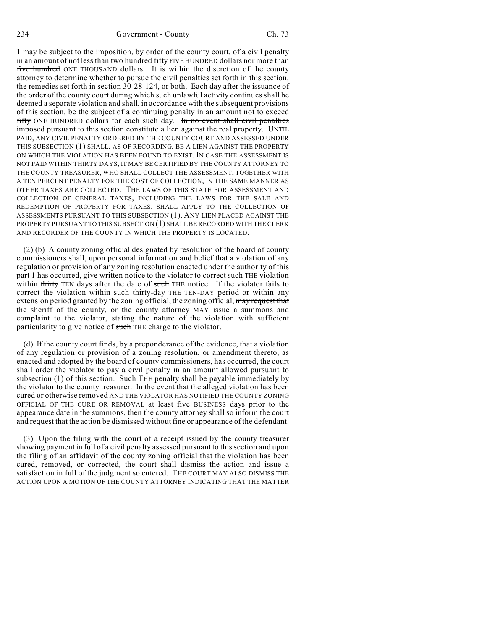234 Government - County Ch. 73

1 may be subject to the imposition, by order of the county court, of a civil penalty in an amount of not less than two hundred fifty FIVE HUNDRED dollars nor more than five hundred ONE THOUSAND dollars. It is within the discretion of the county attorney to determine whether to pursue the civil penalties set forth in this section, the remedies set forth in section 30-28-124, or both. Each day after the issuance of the order of the county court during which such unlawful activity continues shall be deemed a separate violation and shall, in accordance with the subsequent provisions of this section, be the subject of a continuing penalty in an amount not to exceed fifty ONE HUNDRED dollars for each such day. In no event shall civil penalties imposed pursuant to this section constitute a lien against the real property. UNTIL PAID, ANY CIVIL PENALTY ORDERED BY THE COUNTY COURT AND ASSESSED UNDER THIS SUBSECTION (1) SHALL, AS OF RECORDING, BE A LIEN AGAINST THE PROPERTY ON WHICH THE VIOLATION HAS BEEN FOUND TO EXIST. IN CASE THE ASSESSMENT IS NOT PAID WITHIN THIRTY DAYS, IT MAY BE CERTIFIED BY THE COUNTY ATTORNEY TO THE COUNTY TREASURER, WHO SHALL COLLECT THE ASSESSMENT, TOGETHER WITH A TEN PERCENT PENALTY FOR THE COST OF COLLECTION, IN THE SAME MANNER AS OTHER TAXES ARE COLLECTED. THE LAWS OF THIS STATE FOR ASSESSMENT AND COLLECTION OF GENERAL TAXES, INCLUDING THE LAWS FOR THE SALE AND REDEMPTION OF PROPERTY FOR TAXES, SHALL APPLY TO THE COLLECTION OF ASSESSMENTS PURSUANT TO THIS SUBSECTION (1). ANY LIEN PLACED AGAINST THE PROPERTY PURSUANT TO THIS SUBSECTION (1) SHALL BE RECORDED WITH THE CLERK AND RECORDER OF THE COUNTY IN WHICH THE PROPERTY IS LOCATED.

(2) (b) A county zoning official designated by resolution of the board of county commissioners shall, upon personal information and belief that a violation of any regulation or provision of any zoning resolution enacted under the authority of this part 1 has occurred, give written notice to the violator to correct such THE violation within thirty TEN days after the date of such THE notice. If the violator fails to correct the violation within such thirty-day THE TEN-DAY period or within any extension period granted by the zoning official, the zoning official, may request that the sheriff of the county, or the county attorney MAY issue a summons and complaint to the violator, stating the nature of the violation with sufficient particularity to give notice of such THE charge to the violator.

(d) If the county court finds, by a preponderance of the evidence, that a violation of any regulation or provision of a zoning resolution, or amendment thereto, as enacted and adopted by the board of county commissioners, has occurred, the court shall order the violator to pay a civil penalty in an amount allowed pursuant to subsection  $(1)$  of this section. Such THE penalty shall be payable immediately by the violator to the county treasurer. In the event that the alleged violation has been cured or otherwise removed AND THE VIOLATOR HAS NOTIFIED THE COUNTY ZONING OFFICIAL OF THE CURE OR REMOVAL at least five BUSINESS days prior to the appearance date in the summons, then the county attorney shall so inform the court and request that the action be dismissed without fine or appearance of the defendant.

(3) Upon the filing with the court of a receipt issued by the county treasurer showing payment in full of a civil penalty assessed pursuant to this section and upon the filing of an affidavit of the county zoning official that the violation has been cured, removed, or corrected, the court shall dismiss the action and issue a satisfaction in full of the judgment so entered. THE COURT MAY ALSO DISMISS THE ACTION UPON A MOTION OF THE COUNTY ATTORNEY INDICATING THAT THE MATTER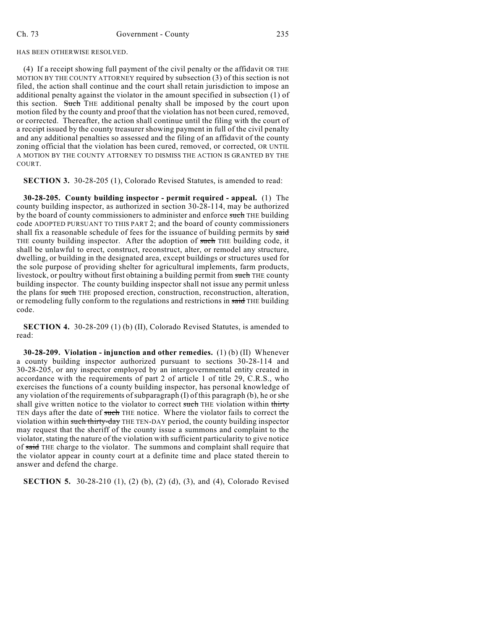HAS BEEN OTHERWISE RESOLVED.

(4) If a receipt showing full payment of the civil penalty or the affidavit OR THE MOTION BY THE COUNTY ATTORNEY required by subsection (3) of this section is not filed, the action shall continue and the court shall retain jurisdiction to impose an additional penalty against the violator in the amount specified in subsection (1) of this section. Such THE additional penalty shall be imposed by the court upon motion filed by the county and proof that the violation has not been cured, removed, or corrected. Thereafter, the action shall continue until the filing with the court of a receipt issued by the county treasurer showing payment in full of the civil penalty and any additional penalties so assessed and the filing of an affidavit of the county zoning official that the violation has been cured, removed, or corrected, OR UNTIL A MOTION BY THE COUNTY ATTORNEY TO DISMISS THE ACTION IS GRANTED BY THE COURT.

**SECTION 3.** 30-28-205 (1), Colorado Revised Statutes, is amended to read:

**30-28-205. County building inspector - permit required - appeal.** (1) The county building inspector, as authorized in section 30-28-114, may be authorized by the board of county commissioners to administer and enforce such THE building code ADOPTED PURSUANT TO THIS PART 2; and the board of county commissioners shall fix a reasonable schedule of fees for the issuance of building permits by said THE county building inspector. After the adoption of such THE building code, it shall be unlawful to erect, construct, reconstruct, alter, or remodel any structure, dwelling, or building in the designated area, except buildings or structures used for the sole purpose of providing shelter for agricultural implements, farm products, livestock, or poultry without first obtaining a building permit from such THE county building inspector. The county building inspector shall not issue any permit unless the plans for such THE proposed erection, construction, reconstruction, alteration, or remodeling fully conform to the regulations and restrictions in said THE building code.

**SECTION 4.** 30-28-209 (1) (b) (II), Colorado Revised Statutes, is amended to read:

**30-28-209. Violation - injunction and other remedies.** (1) (b) (II) Whenever a county building inspector authorized pursuant to sections 30-28-114 and 30-28-205, or any inspector employed by an intergovernmental entity created in accordance with the requirements of part 2 of article 1 of title 29, C.R.S., who exercises the functions of a county building inspector, has personal knowledge of any violation of the requirements ofsubparagraph (I) of this paragraph (b), he or she shall give written notice to the violator to correct such THE violation within thirty TEN days after the date of such THE notice. Where the violator fails to correct the violation within such thirty-day THE TEN-DAY period, the county building inspector may request that the sheriff of the county issue a summons and complaint to the violator, stating the nature of the violation with sufficient particularity to give notice of said THE charge to the violator. The summons and complaint shall require that the violator appear in county court at a definite time and place stated therein to answer and defend the charge.

**SECTION 5.** 30-28-210 (1), (2) (b), (2) (d), (3), and (4), Colorado Revised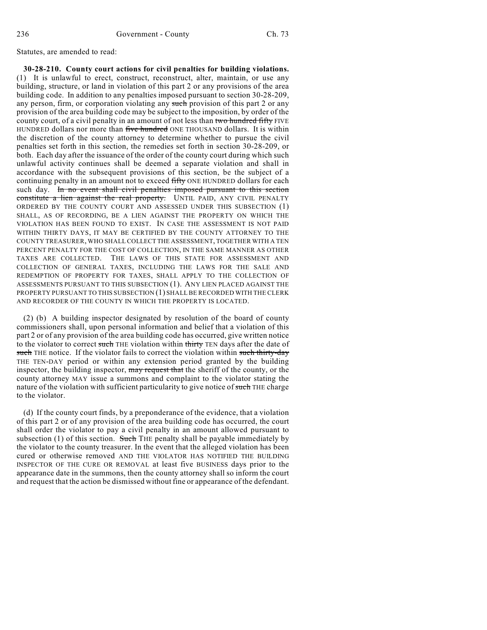Statutes, are amended to read:

**30-28-210. County court actions for civil penalties for building violations.** (1) It is unlawful to erect, construct, reconstruct, alter, maintain, or use any building, structure, or land in violation of this part 2 or any provisions of the area building code. In addition to any penalties imposed pursuant to section 30-28-209, any person, firm, or corporation violating any such provision of this part 2 or any provision of the area building code may be subject to the imposition, by order of the county court, of a civil penalty in an amount of not less than two hundred fifty FIVE HUNDRED dollars nor more than five hundred ONE THOUSAND dollars. It is within the discretion of the county attorney to determine whether to pursue the civil penalties set forth in this section, the remedies set forth in section 30-28-209, or both. Each day after the issuance of the order of the county court during which such unlawful activity continues shall be deemed a separate violation and shall in accordance with the subsequent provisions of this section, be the subject of a continuing penalty in an amount not to exceed fifty ONE HUNDRED dollars for each such day. In no event shall civil penalties imposed pursuant to this section constitute a lien against the real property. UNTIL PAID, ANY CIVIL PENALTY ORDERED BY THE COUNTY COURT AND ASSESSED UNDER THIS SUBSECTION (1) SHALL, AS OF RECORDING, BE A LIEN AGAINST THE PROPERTY ON WHICH THE VIOLATION HAS BEEN FOUND TO EXIST. IN CASE THE ASSESSMENT IS NOT PAID WITHIN THIRTY DAYS, IT MAY BE CERTIFIED BY THE COUNTY ATTORNEY TO THE COUNTY TREASURER, WHO SHALL COLLECT THE ASSESSMENT, TOGETHER WITH A TEN PERCENT PENALTY FOR THE COST OF COLLECTION, IN THE SAME MANNER AS OTHER TAXES ARE COLLECTED. THE LAWS OF THIS STATE FOR ASSESSMENT AND COLLECTION OF GENERAL TAXES, INCLUDING THE LAWS FOR THE SALE AND REDEMPTION OF PROPERTY FOR TAXES, SHALL APPLY TO THE COLLECTION OF ASSESSMENTS PURSUANT TO THIS SUBSECTION (1). ANY LIEN PLACED AGAINST THE PROPERTY PURSUANT TO THIS SUBSECTION (1) SHALL BE RECORDED WITH THE CLERK AND RECORDER OF THE COUNTY IN WHICH THE PROPERTY IS LOCATED.

(2) (b) A building inspector designated by resolution of the board of county commissioners shall, upon personal information and belief that a violation of this part 2 or of any provision of the area building code has occurred, give written notice to the violator to correct such THE violation within thirty TEN days after the date of such THE notice. If the violator fails to correct the violation within such thirty-day THE TEN-DAY period or within any extension period granted by the building inspector, the building inspector, may request that the sheriff of the county, or the county attorney MAY issue a summons and complaint to the violator stating the nature of the violation with sufficient particularity to give notice of such THE charge to the violator.

(d) If the county court finds, by a preponderance of the evidence, that a violation of this part 2 or of any provision of the area building code has occurred, the court shall order the violator to pay a civil penalty in an amount allowed pursuant to subsection (1) of this section. Such THE penalty shall be payable immediately by the violator to the county treasurer. In the event that the alleged violation has been cured or otherwise removed AND THE VIOLATOR HAS NOTIFIED THE BUILDING INSPECTOR OF THE CURE OR REMOVAL at least five BUSINESS days prior to the appearance date in the summons, then the county attorney shall so inform the court and request that the action be dismissed without fine or appearance of the defendant.